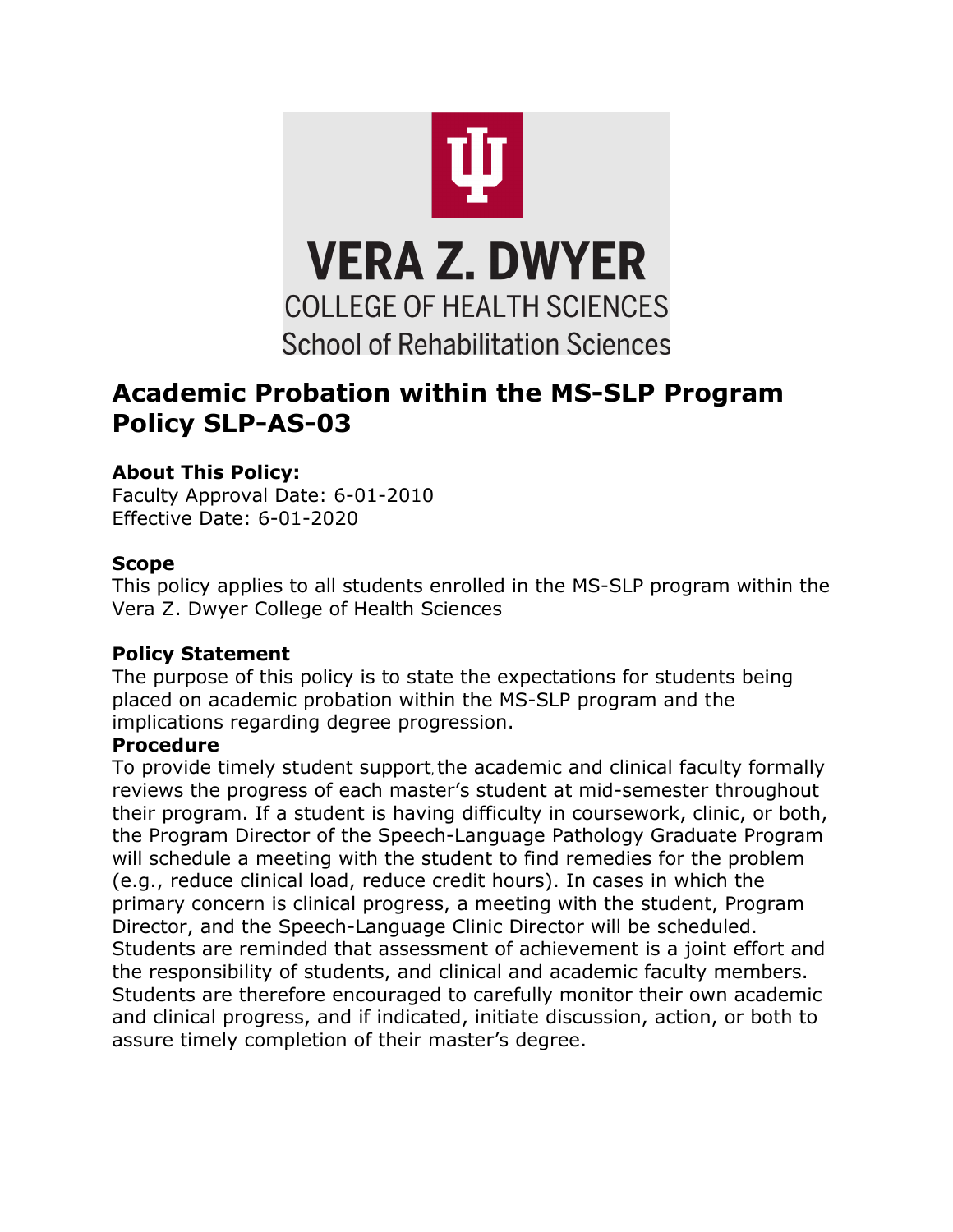

# **Academic Probation within the MS-SLP Program Policy SLP-AS-03**

## **About This Policy:**

Faculty Approval Date: 6-01-2010 Effective Date: 6-01-2020

### **Scope**

This policy applies to all students enrolled in the MS-SLP program within the Vera Z. Dwyer College of Health Sciences

### **Policy Statement**

The purpose of this policy is to state the expectations for students being placed on academic probation within the MS-SLP program and the implications regarding degree progression.

### **Procedure**

To provide timely student support, the academic and clinical faculty formally reviews the progress of each master's student at mid-semester throughout their program. If a student is having difficulty in coursework, clinic, or both, the Program Director of the Speech-Language Pathology Graduate Program will schedule a meeting with the student to find remedies for the problem (e.g., reduce clinical load, reduce credit hours). In cases in which the primary concern is clinical progress, a meeting with the student, Program Director, and the Speech-Language Clinic Director will be scheduled. Students are reminded that assessment of achievement is a joint effort and the responsibility of students, and clinical and academic faculty members. Students are therefore encouraged to carefully monitor their own academic and clinical progress, and if indicated, initiate discussion, action, or both to assure timely completion of their master's degree.